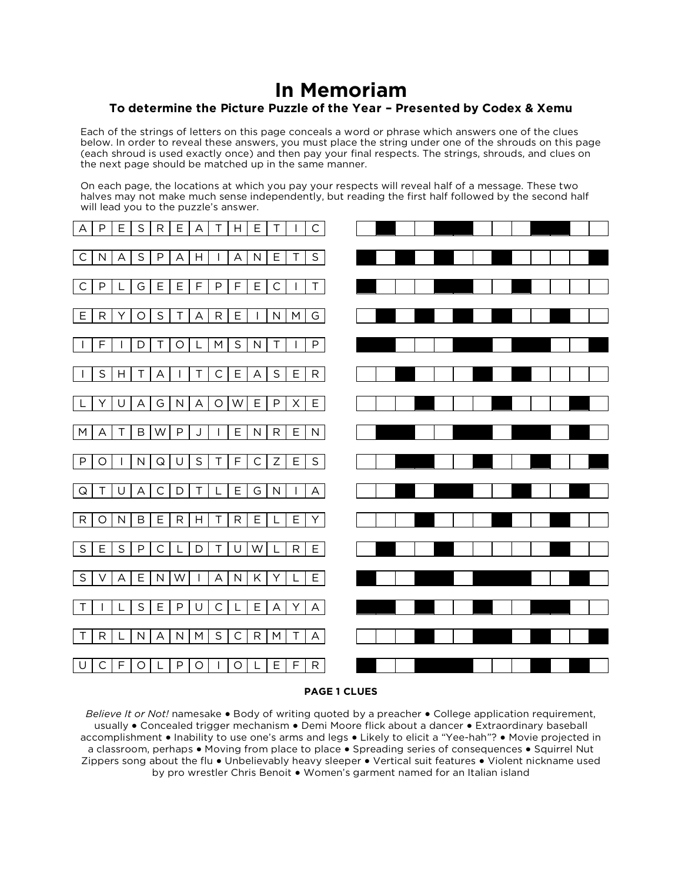## **In Memoriam To determine the Picture Puzzle of the Year – Presented by Codex & Xemu**

Each of the strings of letters on this page conceals a word or phrase which answers one of the clues below. In order to reveal these answers, you must place the string under one of the shrouds on this page (each shroud is used exactly once) and then pay your final respects. The strings, shrouds, and clues on the next page should be matched up in the same manner.

On each page, the locations at which you pay your respects will reveal half of a message. These two halves may not make much sense independently, but reading the first half followed by the second half will lead you to the puzzle's answer.



## **PAGE 1 CLUES**

*Believe It or Not!* namesake ● Body of writing quoted by a preacher ● College application requirement, usually ● Concealed trigger mechanism ● Demi Moore flick about a dancer ● Extraordinary baseball accomplishment ● Inability to use one's arms and legs ● Likely to elicit a "Yee-hah"? ● Movie projected in a classroom, perhaps ● Moving from place to place ● Spreading series of consequences ● Squirrel Nut Zippers song about the flu ● Unbelievably heavy sleeper ● Vertical suit features ● Violent nickname used by pro wrestler Chris Benoit ● Women's garment named for an Italian island